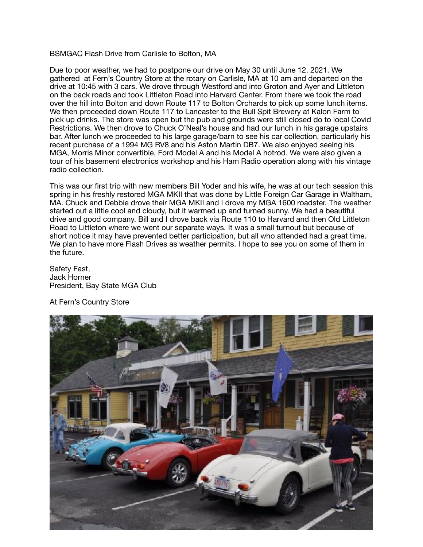## BSMGAC Flash Drive from Carlisle to Bolton, MA

Due to poor weather, we had to postpone our drive on May 30 until June 12, 2021. We gathered at Fern's Country Store at the rotary on Carlisle, MA at 10 am and departed on the drive at 10:45 with 3 cars. We drove through Westford and into Groton and Ayer and Littleton on the back roads and took Littleton Road into Harvard Center. From there we took the road over the hill into Bolton and down Route 117 to Bolton Orchards to pick up some lunch items. We then proceeded down Route 117 to Lancaster to the Bull Spit Brewery at Kalon Farm to pick up drinks. The store was open but the pub and grounds were still closed do to local Covid Restrictions. We then drove to Chuck O'Neal's house and had our lunch in his garage upstairs bar. After lunch we proceeded to his large garage/barn to see his car collection, particularly his recent purchase of a 1994 MG RV8 and his Aston Martin DB7. We also enjoyed seeing his MGA, Morris Minor convertible, Ford Model A and his Model A hotrod. We were also given a tour of his basement electronics workshop and his Ham Radio operation along with his vintage radio collection.

This was our first trip with new members Bill Yoder and his wife, he was at our tech session this spring in his freshly restored MGA MKII that was done by Little Foreign Car Garage in Waltham, MA. Chuck and Debbie drove their MGA MKII and I drove my MGA 1600 roadster. The weather started out a little cool and cloudy, but it warmed up and turned sunny. We had a beautiful drive and good company. Bill and I drove back via Route 110 to Harvard and then Old Littleton Road to Littleton where we went our separate ways. It was a small turnout but because of short notice it may have prevented better participation, but all who attended had a great time. We plan to have more Flash Drives as weather permits. I hope to see you on some of them in the future.

Safety Fast, Jack Horner President, Bay State MGA Club

At Fern's Country Store

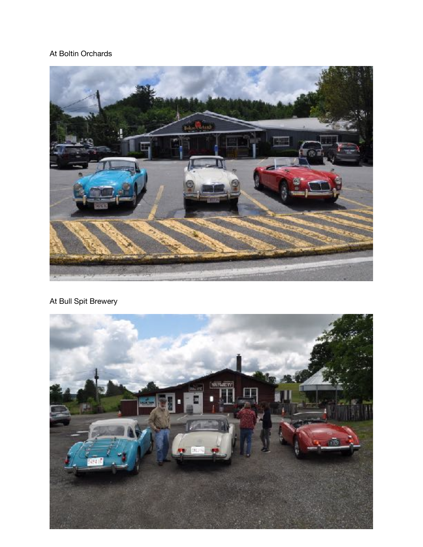## At Boltin Orchards



## At Bull Spit Brewery